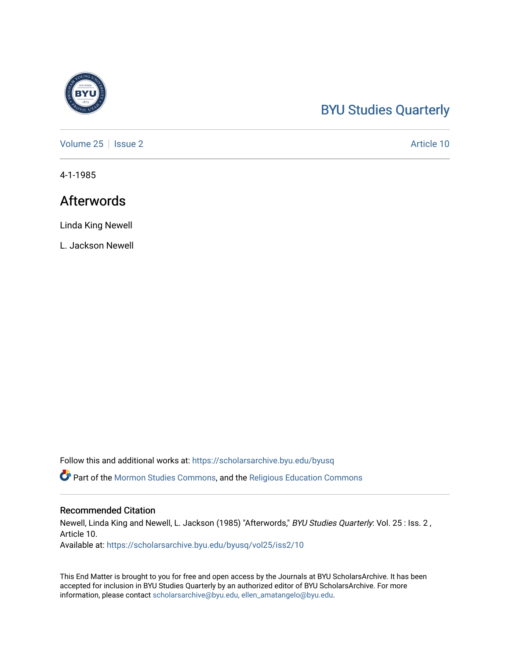## [BYU Studies Quarterly](https://scholarsarchive.byu.edu/byusq)

[Volume 25](https://scholarsarchive.byu.edu/byusq/vol25) | [Issue 2](https://scholarsarchive.byu.edu/byusq/vol25/iss2) Article 10

4-1-1985

## Afterwords

Linda King Newell

L. Jackson Newell

Follow this and additional works at: [https://scholarsarchive.byu.edu/byusq](https://scholarsarchive.byu.edu/byusq?utm_source=scholarsarchive.byu.edu%2Fbyusq%2Fvol25%2Fiss2%2F10&utm_medium=PDF&utm_campaign=PDFCoverPages) 

Part of the [Mormon Studies Commons](http://network.bepress.com/hgg/discipline/1360?utm_source=scholarsarchive.byu.edu%2Fbyusq%2Fvol25%2Fiss2%2F10&utm_medium=PDF&utm_campaign=PDFCoverPages), and the [Religious Education Commons](http://network.bepress.com/hgg/discipline/1414?utm_source=scholarsarchive.byu.edu%2Fbyusq%2Fvol25%2Fiss2%2F10&utm_medium=PDF&utm_campaign=PDFCoverPages) 

#### Recommended Citation

Newell, Linda King and Newell, L. Jackson (1985) "Afterwords," BYU Studies Quarterly: Vol. 25 : Iss. 2 , Article 10.

Available at: [https://scholarsarchive.byu.edu/byusq/vol25/iss2/10](https://scholarsarchive.byu.edu/byusq/vol25/iss2/10?utm_source=scholarsarchive.byu.edu%2Fbyusq%2Fvol25%2Fiss2%2F10&utm_medium=PDF&utm_campaign=PDFCoverPages) 

This End Matter is brought to you for free and open access by the Journals at BYU ScholarsArchive. It has been accepted for inclusion in BYU Studies Quarterly by an authorized editor of BYU ScholarsArchive. For more information, please contact [scholarsarchive@byu.edu, ellen\\_amatangelo@byu.edu.](mailto:scholarsarchive@byu.edu,%20ellen_amatangelo@byu.edu)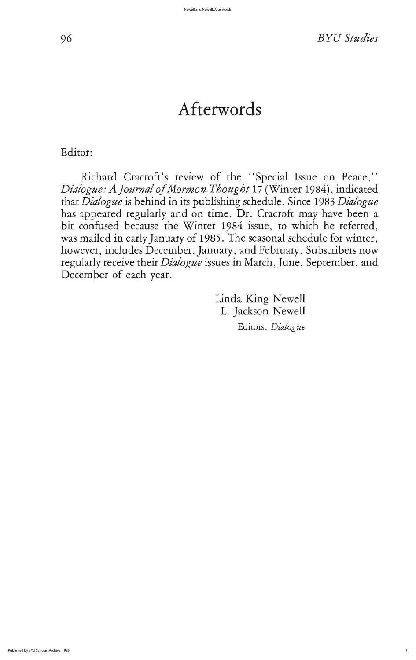96 BYU studies

# Afterwords

Editor:

Richard Cracroft's review of the "Special Issue on Peace," Dialogue: A Journal of Mormon Thought 17 (Winter 1984), indicated that Dialogue is behind in its publishing schedule. Since 1983 Dialogue has appeared regularly and on time. Dr. Cracroft may have been a bit confused because the Winter 1984 issue, to which he referred, was mailed in early January of 1985. The seasonal schedule for winter, however, includes December, January, and February. Subscribers now regularly receive their *Dialogue* issues in March, June, September, and December of each year.

> Linda King Newell L. Jackson Newell Editors, Dialogue

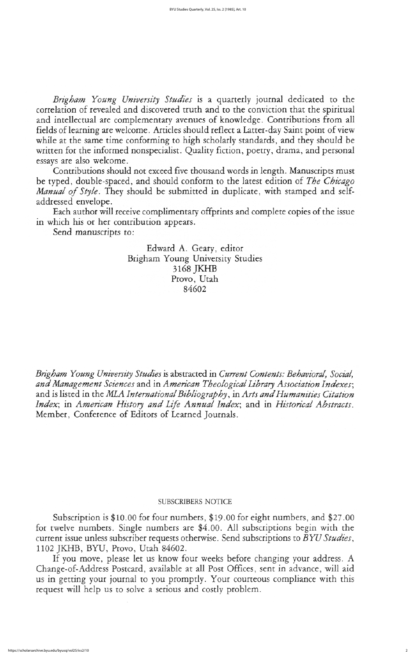Brigham Young University Studies is a quarterly journal dedicated to the correlation of revealed and discovered truth and to the conviction that the spiritual and intellectual are complementary avenues of knowledge. Contributions from all fields of learning are welcome. Articles should reflect a Latter-day Saint point of view while at the same time conforming to high scholarly standards, and they should be written for the informed nonspecialist. Quality fiction, poetry, drama, and personal essays are also welcome

Contributions should not exceed five thousand words in length. Manuscripts must be typed, double-spaced, and should conform to the latest edition of The Chicago Manual of Style. They should be submitted in duplicate, with stamped and selfaddressed envelope

Each author will receive complimentary offprints and complete copies of the issue in which his or her contribution appears

Send manuscripts to:

Edward A. Geary, editor Brigham Young University Studies 3168 JKHB Provo, Utah 84602

Brigham Young University Studies is abstracted in Current Contents: Behavioral, Social, and Management Sciences and in American Theological Library Association Indexes; and is listed in the MLA International Bibliography, in Arts and Humanities Citation Index; in American History and Life Annual Index; and in Historical Abstracts. Member, Conference of Editors of Learned Journals.

If you move, please let us know four weeks before changing your address. A Change-of-Address Postcard, available at all Post Offices, sent in advance, will aid us in getting your journal to you promptly. Your courteous compliance with this request will help us to solve a serious and costly problem

## subscribers NOTICE

Subscription is  $$10.00$  for four numbers,  $$19.00$  for eight numbers, and  $$27.00$ for twelve numbers. Single numbers are \$4.00. All subscriptions begin with the current issue unless subscriber requests otherwise. Send subscriptions to BYU Studies, 1102 JKHB, BYU, Provo, Utah 84602.